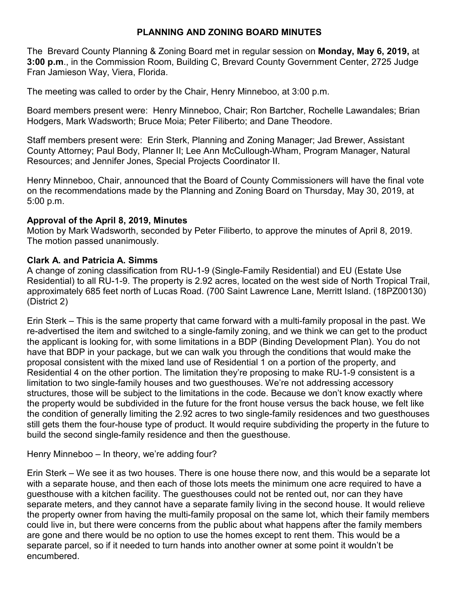# **PLANNING AND ZONING BOARD MINUTES**

The Brevard County Planning & Zoning Board met in regular session on **Monday, May 6, 2019,** at **3:00 p.m**., in the Commission Room, Building C, Brevard County Government Center, 2725 Judge Fran Jamieson Way, Viera, Florida.

The meeting was called to order by the Chair, Henry Minneboo, at 3:00 p.m.

Board members present were: Henry Minneboo, Chair; Ron Bartcher, Rochelle Lawandales; Brian Hodgers, Mark Wadsworth; Bruce Moia; Peter Filiberto; and Dane Theodore.

Staff members present were: Erin Sterk, Planning and Zoning Manager; Jad Brewer, Assistant County Attorney; Paul Body, Planner II; Lee Ann McCullough-Wham, Program Manager, Natural Resources; and Jennifer Jones, Special Projects Coordinator II.

Henry Minneboo, Chair, announced that the Board of County Commissioners will have the final vote on the recommendations made by the Planning and Zoning Board on Thursday, May 30, 2019, at 5:00 p.m.

## **Approval of the April 8, 2019, Minutes**

Motion by Mark Wadsworth, seconded by Peter Filiberto, to approve the minutes of April 8, 2019. The motion passed unanimously.

## **Clark A. and Patricia A. Simms**

A change of zoning classification from RU-1-9 (Single-Family Residential) and EU (Estate Use Residential) to all RU-1-9. The property is 2.92 acres, located on the west side of North Tropical Trail, approximately 685 feet north of Lucas Road. (700 Saint Lawrence Lane, Merritt Island. (18PZ00130) (District 2)

Erin Sterk – This is the same property that came forward with a multi-family proposal in the past. We re-advertised the item and switched to a single-family zoning, and we think we can get to the product the applicant is looking for, with some limitations in a BDP (Binding Development Plan). You do not have that BDP in your package, but we can walk you through the conditions that would make the proposal consistent with the mixed land use of Residential 1 on a portion of the property, and Residential 4 on the other portion. The limitation they're proposing to make RU-1-9 consistent is a limitation to two single-family houses and two guesthouses. We're not addressing accessory structures, those will be subject to the limitations in the code. Because we don't know exactly where the property would be subdivided in the future for the front house versus the back house, we felt like the condition of generally limiting the 2.92 acres to two single-family residences and two guesthouses still gets them the four-house type of product. It would require subdividing the property in the future to build the second single-family residence and then the guesthouse.

Henry Minneboo – In theory, we're adding four?

Erin Sterk – We see it as two houses. There is one house there now, and this would be a separate lot with a separate house, and then each of those lots meets the minimum one acre required to have a guesthouse with a kitchen facility. The guesthouses could not be rented out, nor can they have separate meters, and they cannot have a separate family living in the second house. It would relieve the property owner from having the multi-family proposal on the same lot, which their family members could live in, but there were concerns from the public about what happens after the family members are gone and there would be no option to use the homes except to rent them. This would be a separate parcel, so if it needed to turn hands into another owner at some point it wouldn't be encumbered.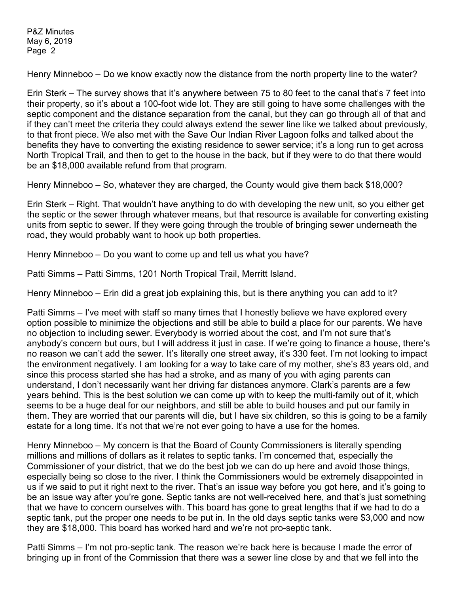Henry Minneboo – Do we know exactly now the distance from the north property line to the water?

Erin Sterk – The survey shows that it's anywhere between 75 to 80 feet to the canal that's 7 feet into their property, so it's about a 100-foot wide lot. They are still going to have some challenges with the septic component and the distance separation from the canal, but they can go through all of that and if they can't meet the criteria they could always extend the sewer line like we talked about previously, to that front piece. We also met with the Save Our Indian River Lagoon folks and talked about the benefits they have to converting the existing residence to sewer service; it's a long run to get across North Tropical Trail, and then to get to the house in the back, but if they were to do that there would be an \$18,000 available refund from that program.

Henry Minneboo – So, whatever they are charged, the County would give them back \$18,000?

Erin Sterk – Right. That wouldn't have anything to do with developing the new unit, so you either get the septic or the sewer through whatever means, but that resource is available for converting existing units from septic to sewer. If they were going through the trouble of bringing sewer underneath the road, they would probably want to hook up both properties.

Henry Minneboo – Do you want to come up and tell us what you have?

Patti Simms – Patti Simms, 1201 North Tropical Trail, Merritt Island.

Henry Minneboo – Erin did a great job explaining this, but is there anything you can add to it?

Patti Simms – I've meet with staff so many times that I honestly believe we have explored every option possible to minimize the objections and still be able to build a place for our parents. We have no objection to including sewer. Everybody is worried about the cost, and I'm not sure that's anybody's concern but ours, but I will address it just in case. If we're going to finance a house, there's no reason we can't add the sewer. It's literally one street away, it's 330 feet. I'm not looking to impact the environment negatively. I am looking for a way to take care of my mother, she's 83 years old, and since this process started she has had a stroke, and as many of you with aging parents can understand, I don't necessarily want her driving far distances anymore. Clark's parents are a few years behind. This is the best solution we can come up with to keep the multi-family out of it, which seems to be a huge deal for our neighbors, and still be able to build houses and put our family in them. They are worried that our parents will die, but I have six children, so this is going to be a family estate for a long time. It's not that we're not ever going to have a use for the homes.

Henry Minneboo – My concern is that the Board of County Commissioners is literally spending millions and millions of dollars as it relates to septic tanks. I'm concerned that, especially the Commissioner of your district, that we do the best job we can do up here and avoid those things, especially being so close to the river. I think the Commissioners would be extremely disappointed in us if we said to put it right next to the river. That's an issue way before you got here, and it's going to be an issue way after you're gone. Septic tanks are not well-received here, and that's just something that we have to concern ourselves with. This board has gone to great lengths that if we had to do a septic tank, put the proper one needs to be put in. In the old days septic tanks were \$3,000 and now they are \$18,000. This board has worked hard and we're not pro-septic tank.

Patti Simms – I'm not pro-septic tank. The reason we're back here is because I made the error of bringing up in front of the Commission that there was a sewer line close by and that we fell into the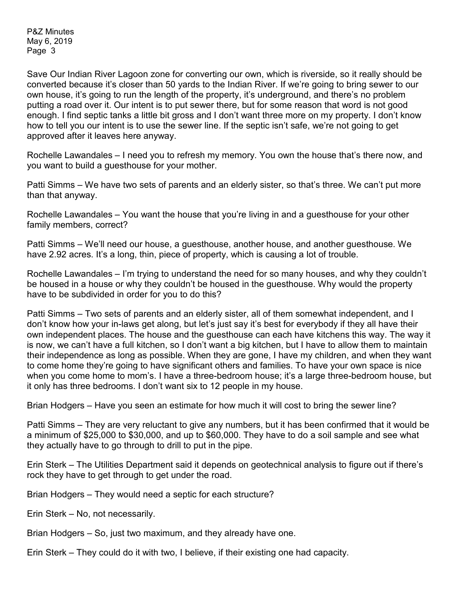Save Our Indian River Lagoon zone for converting our own, which is riverside, so it really should be converted because it's closer than 50 yards to the Indian River. If we're going to bring sewer to our own house, it's going to run the length of the property, it's underground, and there's no problem putting a road over it. Our intent is to put sewer there, but for some reason that word is not good enough. I find septic tanks a little bit gross and I don't want three more on my property. I don't know how to tell you our intent is to use the sewer line. If the septic isn't safe, we're not going to get approved after it leaves here anyway.

Rochelle Lawandales – I need you to refresh my memory. You own the house that's there now, and you want to build a guesthouse for your mother.

Patti Simms – We have two sets of parents and an elderly sister, so that's three. We can't put more than that anyway.

Rochelle Lawandales – You want the house that you're living in and a guesthouse for your other family members, correct?

Patti Simms – We'll need our house, a guesthouse, another house, and another guesthouse. We have 2.92 acres. It's a long, thin, piece of property, which is causing a lot of trouble.

Rochelle Lawandales – I'm trying to understand the need for so many houses, and why they couldn't be housed in a house or why they couldn't be housed in the guesthouse. Why would the property have to be subdivided in order for you to do this?

Patti Simms – Two sets of parents and an elderly sister, all of them somewhat independent, and I don't know how your in-laws get along, but let's just say it's best for everybody if they all have their own independent places. The house and the guesthouse can each have kitchens this way. The way it is now, we can't have a full kitchen, so I don't want a big kitchen, but I have to allow them to maintain their independence as long as possible. When they are gone, I have my children, and when they want to come home they're going to have significant others and families. To have your own space is nice when you come home to mom's. I have a three-bedroom house; it's a large three-bedroom house, but it only has three bedrooms. I don't want six to 12 people in my house.

Brian Hodgers – Have you seen an estimate for how much it will cost to bring the sewer line?

Patti Simms – They are very reluctant to give any numbers, but it has been confirmed that it would be a minimum of \$25,000 to \$30,000, and up to \$60,000. They have to do a soil sample and see what they actually have to go through to drill to put in the pipe.

Erin Sterk – The Utilities Department said it depends on geotechnical analysis to figure out if there's rock they have to get through to get under the road.

Brian Hodgers – They would need a septic for each structure?

Erin Sterk – No, not necessarily.

Brian Hodgers – So, just two maximum, and they already have one.

Erin Sterk – They could do it with two, I believe, if their existing one had capacity.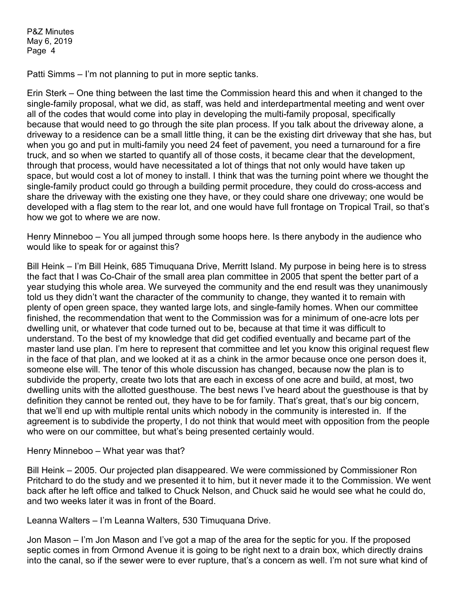Patti Simms – I'm not planning to put in more septic tanks.

Erin Sterk – One thing between the last time the Commission heard this and when it changed to the single-family proposal, what we did, as staff, was held and interdepartmental meeting and went over all of the codes that would come into play in developing the multi-family proposal, specifically because that would need to go through the site plan process. If you talk about the driveway alone, a driveway to a residence can be a small little thing, it can be the existing dirt driveway that she has, but when you go and put in multi-family you need 24 feet of pavement, you need a turnaround for a fire truck, and so when we started to quantify all of those costs, it became clear that the development, through that process, would have necessitated a lot of things that not only would have taken up space, but would cost a lot of money to install. I think that was the turning point where we thought the single-family product could go through a building permit procedure, they could do cross-access and share the driveway with the existing one they have, or they could share one driveway; one would be developed with a flag stem to the rear lot, and one would have full frontage on Tropical Trail, so that's how we got to where we are now.

Henry Minneboo – You all jumped through some hoops here. Is there anybody in the audience who would like to speak for or against this?

Bill Heink – I'm Bill Heink, 685 Timuquana Drive, Merritt Island. My purpose in being here is to stress the fact that I was Co-Chair of the small area plan committee in 2005 that spent the better part of a year studying this whole area. We surveyed the community and the end result was they unanimously told us they didn't want the character of the community to change, they wanted it to remain with plenty of open green space, they wanted large lots, and single-family homes. When our committee finished, the recommendation that went to the Commission was for a minimum of one-acre lots per dwelling unit, or whatever that code turned out to be, because at that time it was difficult to understand. To the best of my knowledge that did get codified eventually and became part of the master land use plan. I'm here to represent that committee and let you know this original request flew in the face of that plan, and we looked at it as a chink in the armor because once one person does it, someone else will. The tenor of this whole discussion has changed, because now the plan is to subdivide the property, create two lots that are each in excess of one acre and build, at most, two dwelling units with the allotted guesthouse. The best news I've heard about the guesthouse is that by definition they cannot be rented out, they have to be for family. That's great, that's our big concern, that we'll end up with multiple rental units which nobody in the community is interested in. If the agreement is to subdivide the property, I do not think that would meet with opposition from the people who were on our committee, but what's being presented certainly would.

Henry Minneboo – What year was that?

Bill Heink – 2005. Our projected plan disappeared. We were commissioned by Commissioner Ron Pritchard to do the study and we presented it to him, but it never made it to the Commission. We went back after he left office and talked to Chuck Nelson, and Chuck said he would see what he could do, and two weeks later it was in front of the Board.

Leanna Walters – I'm Leanna Walters, 530 Timuquana Drive.

Jon Mason – I'm Jon Mason and I've got a map of the area for the septic for you. If the proposed septic comes in from Ormond Avenue it is going to be right next to a drain box, which directly drains into the canal, so if the sewer were to ever rupture, that's a concern as well. I'm not sure what kind of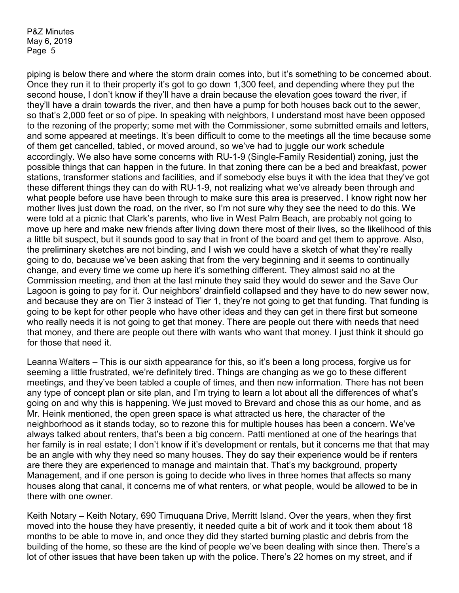piping is below there and where the storm drain comes into, but it's something to be concerned about. Once they run it to their property it's got to go down 1,300 feet, and depending where they put the second house, I don't know if they'll have a drain because the elevation goes toward the river, if they'll have a drain towards the river, and then have a pump for both houses back out to the sewer, so that's 2,000 feet or so of pipe. In speaking with neighbors, I understand most have been opposed to the rezoning of the property; some met with the Commissioner, some submitted emails and letters, and some appeared at meetings. It's been difficult to come to the meetings all the time because some of them get cancelled, tabled, or moved around, so we've had to juggle our work schedule accordingly. We also have some concerns with RU-1-9 (Single-Family Residential) zoning, just the possible things that can happen in the future. In that zoning there can be a bed and breakfast, power stations, transformer stations and facilities, and if somebody else buys it with the idea that they've got these different things they can do with RU-1-9, not realizing what we've already been through and what people before use have been through to make sure this area is preserved. I know right now her mother lives just down the road, on the river, so I'm not sure why they see the need to do this. We were told at a picnic that Clark's parents, who live in West Palm Beach, are probably not going to move up here and make new friends after living down there most of their lives, so the likelihood of this a little bit suspect, but it sounds good to say that in front of the board and get them to approve. Also, the preliminary sketches are not binding, and I wish we could have a sketch of what they're really going to do, because we've been asking that from the very beginning and it seems to continually change, and every time we come up here it's something different. They almost said no at the Commission meeting, and then at the last minute they said they would do sewer and the Save Our Lagoon is going to pay for it. Our neighbors' drainfield collapsed and they have to do new sewer now, and because they are on Tier 3 instead of Tier 1, they're not going to get that funding. That funding is going to be kept for other people who have other ideas and they can get in there first but someone who really needs it is not going to get that money. There are people out there with needs that need that money, and there are people out there with wants who want that money. I just think it should go for those that need it.

Leanna Walters – This is our sixth appearance for this, so it's been a long process, forgive us for seeming a little frustrated, we're definitely tired. Things are changing as we go to these different meetings, and they've been tabled a couple of times, and then new information. There has not been any type of concept plan or site plan, and I'm trying to learn a lot about all the differences of what's going on and why this is happening. We just moved to Brevard and chose this as our home, and as Mr. Heink mentioned, the open green space is what attracted us here, the character of the neighborhood as it stands today, so to rezone this for multiple houses has been a concern. We've always talked about renters, that's been a big concern. Patti mentioned at one of the hearings that her family is in real estate; I don't know if it's development or rentals, but it concerns me that that may be an angle with why they need so many houses. They do say their experience would be if renters are there they are experienced to manage and maintain that. That's my background, property Management, and if one person is going to decide who lives in three homes that affects so many houses along that canal, it concerns me of what renters, or what people, would be allowed to be in there with one owner.

Keith Notary – Keith Notary, 690 Timuquana Drive, Merritt Island. Over the years, when they first moved into the house they have presently, it needed quite a bit of work and it took them about 18 months to be able to move in, and once they did they started burning plastic and debris from the building of the home, so these are the kind of people we've been dealing with since then. There's a lot of other issues that have been taken up with the police. There's 22 homes on my street, and if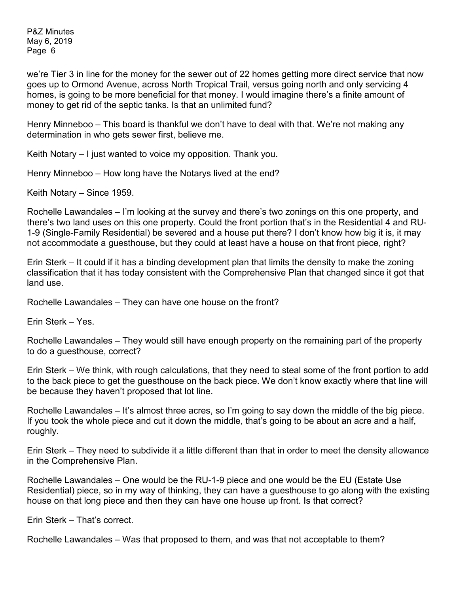we're Tier 3 in line for the money for the sewer out of 22 homes getting more direct service that now goes up to Ormond Avenue, across North Tropical Trail, versus going north and only servicing 4 homes, is going to be more beneficial for that money. I would imagine there's a finite amount of money to get rid of the septic tanks. Is that an unlimited fund?

Henry Minneboo – This board is thankful we don't have to deal with that. We're not making any determination in who gets sewer first, believe me.

Keith Notary – I just wanted to voice my opposition. Thank you.

Henry Minneboo – How long have the Notarys lived at the end?

Keith Notary – Since 1959.

Rochelle Lawandales – I'm looking at the survey and there's two zonings on this one property, and there's two land uses on this one property. Could the front portion that's in the Residential 4 and RU-1-9 (Single-Family Residential) be severed and a house put there? I don't know how big it is, it may not accommodate a guesthouse, but they could at least have a house on that front piece, right?

Erin Sterk – It could if it has a binding development plan that limits the density to make the zoning classification that it has today consistent with the Comprehensive Plan that changed since it got that land use.

Rochelle Lawandales – They can have one house on the front?

Erin Sterk – Yes.

Rochelle Lawandales – They would still have enough property on the remaining part of the property to do a guesthouse, correct?

Erin Sterk – We think, with rough calculations, that they need to steal some of the front portion to add to the back piece to get the guesthouse on the back piece. We don't know exactly where that line will be because they haven't proposed that lot line.

Rochelle Lawandales – It's almost three acres, so I'm going to say down the middle of the big piece. If you took the whole piece and cut it down the middle, that's going to be about an acre and a half, roughly.

Erin Sterk – They need to subdivide it a little different than that in order to meet the density allowance in the Comprehensive Plan.

Rochelle Lawandales – One would be the RU-1-9 piece and one would be the EU (Estate Use Residential) piece, so in my way of thinking, they can have a guesthouse to go along with the existing house on that long piece and then they can have one house up front. Is that correct?

Erin Sterk – That's correct.

Rochelle Lawandales – Was that proposed to them, and was that not acceptable to them?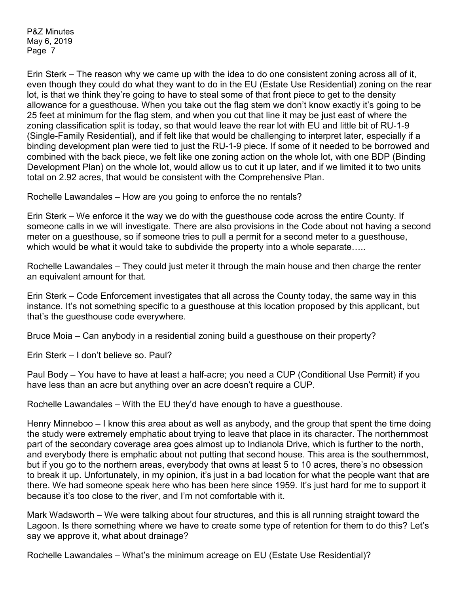Erin Sterk – The reason why we came up with the idea to do one consistent zoning across all of it, even though they could do what they want to do in the EU (Estate Use Residential) zoning on the rear lot, is that we think they're going to have to steal some of that front piece to get to the density allowance for a guesthouse. When you take out the flag stem we don't know exactly it's going to be 25 feet at minimum for the flag stem, and when you cut that line it may be just east of where the zoning classification split is today, so that would leave the rear lot with EU and little bit of RU-1-9 (Single-Family Residential), and if felt like that would be challenging to interpret later, especially if a binding development plan were tied to just the RU-1-9 piece. If some of it needed to be borrowed and combined with the back piece, we felt like one zoning action on the whole lot, with one BDP (Binding Development Plan) on the whole lot, would allow us to cut it up later, and if we limited it to two units total on 2.92 acres, that would be consistent with the Comprehensive Plan.

Rochelle Lawandales – How are you going to enforce the no rentals?

Erin Sterk – We enforce it the way we do with the guesthouse code across the entire County. If someone calls in we will investigate. There are also provisions in the Code about not having a second meter on a guesthouse, so if someone tries to pull a permit for a second meter to a guesthouse, which would be what it would take to subdivide the property into a whole separate.....

Rochelle Lawandales – They could just meter it through the main house and then charge the renter an equivalent amount for that.

Erin Sterk – Code Enforcement investigates that all across the County today, the same way in this instance. It's not something specific to a guesthouse at this location proposed by this applicant, but that's the guesthouse code everywhere.

Bruce Moia – Can anybody in a residential zoning build a guesthouse on their property?

Erin Sterk – I don't believe so. Paul?

Paul Body – You have to have at least a half-acre; you need a CUP (Conditional Use Permit) if you have less than an acre but anything over an acre doesn't require a CUP.

Rochelle Lawandales – With the EU they'd have enough to have a guesthouse.

Henry Minneboo – I know this area about as well as anybody, and the group that spent the time doing the study were extremely emphatic about trying to leave that place in its character. The northernmost part of the secondary coverage area goes almost up to Indianola Drive, which is further to the north, and everybody there is emphatic about not putting that second house. This area is the southernmost, but if you go to the northern areas, everybody that owns at least 5 to 10 acres, there's no obsession to break it up. Unfortunately, in my opinion, it's just in a bad location for what the people want that are there. We had someone speak here who has been here since 1959. It's just hard for me to support it because it's too close to the river, and I'm not comfortable with it.

Mark Wadsworth – We were talking about four structures, and this is all running straight toward the Lagoon. Is there something where we have to create some type of retention for them to do this? Let's say we approve it, what about drainage?

Rochelle Lawandales – What's the minimum acreage on EU (Estate Use Residential)?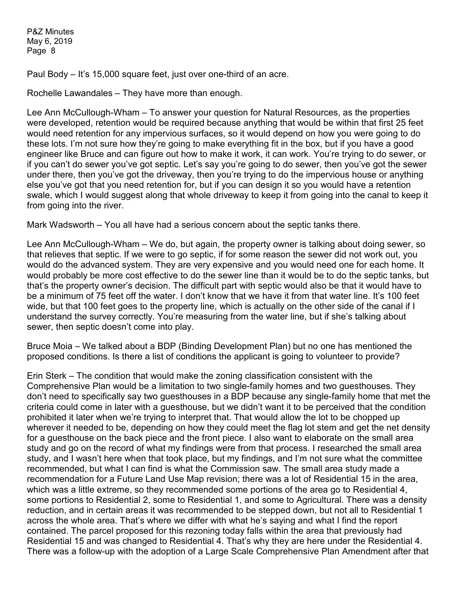Paul Body – It's 15,000 square feet, just over one-third of an acre.

Rochelle Lawandales – They have more than enough.

Lee Ann McCullough-Wham – To answer your question for Natural Resources, as the properties were developed, retention would be required because anything that would be within that first 25 feet would need retention for any impervious surfaces, so it would depend on how you were going to do these lots. I'm not sure how they're going to make everything fit in the box, but if you have a good engineer like Bruce and can figure out how to make it work, it can work. You're trying to do sewer, or if you can't do sewer you've got septic. Let's say you're going to do sewer, then you've got the sewer under there, then you've got the driveway, then you're trying to do the impervious house or anything else you've got that you need retention for, but if you can design it so you would have a retention swale, which I would suggest along that whole driveway to keep it from going into the canal to keep it from going into the river.

Mark Wadsworth – You all have had a serious concern about the septic tanks there.

Lee Ann McCullough-Wham – We do, but again, the property owner is talking about doing sewer, so that relieves that septic. If we were to go septic, if for some reason the sewer did not work out, you would do the advanced system. They are very expensive and you would need one for each home. It would probably be more cost effective to do the sewer line than it would be to do the septic tanks, but that's the property owner's decision. The difficult part with septic would also be that it would have to be a minimum of 75 feet off the water. I don't know that we have it from that water line. It's 100 feet wide, but that 100 feet goes to the property line, which is actually on the other side of the canal if I understand the survey correctly. You're measuring from the water line, but if she's talking about sewer, then septic doesn't come into play.

Bruce Moia – We talked about a BDP (Binding Development Plan) but no one has mentioned the proposed conditions. Is there a list of conditions the applicant is going to volunteer to provide?

Erin Sterk – The condition that would make the zoning classification consistent with the Comprehensive Plan would be a limitation to two single-family homes and two guesthouses. They don't need to specifically say two guesthouses in a BDP because any single-family home that met the criteria could come in later with a guesthouse, but we didn't want it to be perceived that the condition prohibited it later when we're trying to interpret that. That would allow the lot to be chopped up wherever it needed to be, depending on how they could meet the flag lot stem and get the net density for a guesthouse on the back piece and the front piece. I also want to elaborate on the small area study and go on the record of what my findings were from that process. I researched the small area study, and I wasn't here when that took place, but my findings, and I'm not sure what the committee recommended, but what I can find is what the Commission saw. The small area study made a recommendation for a Future Land Use Map revision; there was a lot of Residential 15 in the area, which was a little extreme, so they recommended some portions of the area go to Residential 4, some portions to Residential 2, some to Residential 1, and some to Agricultural. There was a density reduction, and in certain areas it was recommended to be stepped down, but not all to Residential 1 across the whole area. That's where we differ with what he's saying and what I find the report contained. The parcel proposed for this rezoning today falls within the area that previously had Residential 15 and was changed to Residential 4. That's why they are here under the Residential 4. There was a follow-up with the adoption of a Large Scale Comprehensive Plan Amendment after that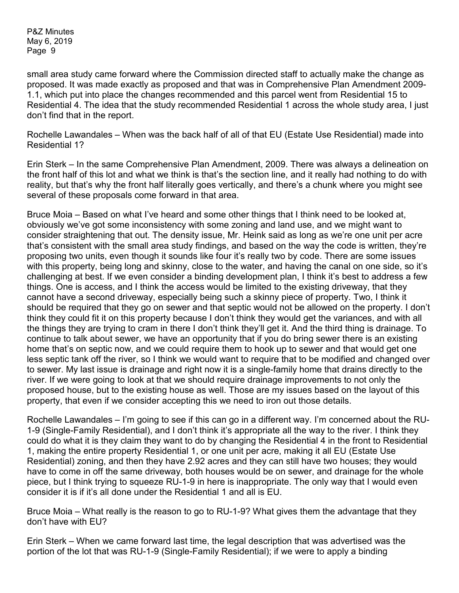small area study came forward where the Commission directed staff to actually make the change as proposed. It was made exactly as proposed and that was in Comprehensive Plan Amendment 2009- 1.1, which put into place the changes recommended and this parcel went from Residential 15 to Residential 4. The idea that the study recommended Residential 1 across the whole study area, I just don't find that in the report.

Rochelle Lawandales – When was the back half of all of that EU (Estate Use Residential) made into Residential 1?

Erin Sterk – In the same Comprehensive Plan Amendment, 2009. There was always a delineation on the front half of this lot and what we think is that's the section line, and it really had nothing to do with reality, but that's why the front half literally goes vertically, and there's a chunk where you might see several of these proposals come forward in that area.

Bruce Moia – Based on what I've heard and some other things that I think need to be looked at, obviously we've got some inconsistency with some zoning and land use, and we might want to consider straightening that out. The density issue, Mr. Heink said as long as we're one unit per acre that's consistent with the small area study findings, and based on the way the code is written, they're proposing two units, even though it sounds like four it's really two by code. There are some issues with this property, being long and skinny, close to the water, and having the canal on one side, so it's challenging at best. If we even consider a binding development plan, I think it's best to address a few things. One is access, and I think the access would be limited to the existing driveway, that they cannot have a second driveway, especially being such a skinny piece of property. Two, I think it should be required that they go on sewer and that septic would not be allowed on the property. I don't think they could fit it on this property because I don't think they would get the variances, and with all the things they are trying to cram in there I don't think they'll get it. And the third thing is drainage. To continue to talk about sewer, we have an opportunity that if you do bring sewer there is an existing home that's on septic now, and we could require them to hook up to sewer and that would get one less septic tank off the river, so I think we would want to require that to be modified and changed over to sewer. My last issue is drainage and right now it is a single-family home that drains directly to the river. If we were going to look at that we should require drainage improvements to not only the proposed house, but to the existing house as well. Those are my issues based on the layout of this property, that even if we consider accepting this we need to iron out those details.

Rochelle Lawandales – I'm going to see if this can go in a different way. I'm concerned about the RU-1-9 (Single-Family Residential), and I don't think it's appropriate all the way to the river. I think they could do what it is they claim they want to do by changing the Residential 4 in the front to Residential 1, making the entire property Residential 1, or one unit per acre, making it all EU (Estate Use Residential) zoning, and then they have 2.92 acres and they can still have two houses; they would have to come in off the same driveway, both houses would be on sewer, and drainage for the whole piece, but I think trying to squeeze RU-1-9 in here is inappropriate. The only way that I would even consider it is if it's all done under the Residential 1 and all is EU.

Bruce Moia – What really is the reason to go to RU-1-9? What gives them the advantage that they don't have with EU?

Erin Sterk – When we came forward last time, the legal description that was advertised was the portion of the lot that was RU-1-9 (Single-Family Residential); if we were to apply a binding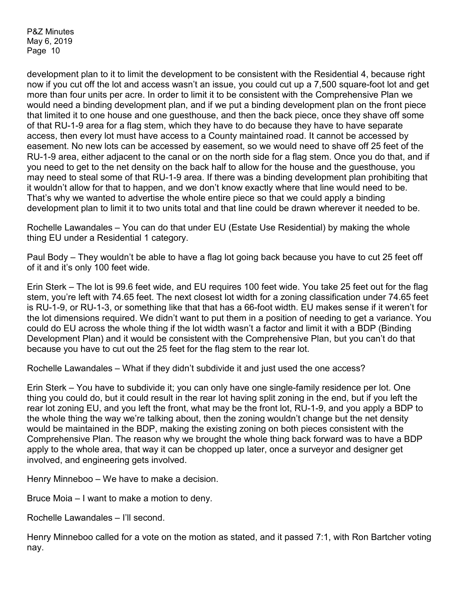development plan to it to limit the development to be consistent with the Residential 4, because right now if you cut off the lot and access wasn't an issue, you could cut up a 7,500 square-foot lot and get more than four units per acre. In order to limit it to be consistent with the Comprehensive Plan we would need a binding development plan, and if we put a binding development plan on the front piece that limited it to one house and one guesthouse, and then the back piece, once they shave off some of that RU-1-9 area for a flag stem, which they have to do because they have to have separate access, then every lot must have access to a County maintained road. It cannot be accessed by easement. No new lots can be accessed by easement, so we would need to shave off 25 feet of the RU-1-9 area, either adjacent to the canal or on the north side for a flag stem. Once you do that, and if you need to get to the net density on the back half to allow for the house and the guesthouse, you may need to steal some of that RU-1-9 area. If there was a binding development plan prohibiting that it wouldn't allow for that to happen, and we don't know exactly where that line would need to be. That's why we wanted to advertise the whole entire piece so that we could apply a binding development plan to limit it to two units total and that line could be drawn wherever it needed to be.

Rochelle Lawandales – You can do that under EU (Estate Use Residential) by making the whole thing EU under a Residential 1 category.

Paul Body – They wouldn't be able to have a flag lot going back because you have to cut 25 feet off of it and it's only 100 feet wide.

Erin Sterk – The lot is 99.6 feet wide, and EU requires 100 feet wide. You take 25 feet out for the flag stem, you're left with 74.65 feet. The next closest lot width for a zoning classification under 74.65 feet is RU-1-9, or RU-1-3, or something like that that has a 66-foot width. EU makes sense if it weren't for the lot dimensions required. We didn't want to put them in a position of needing to get a variance. You could do EU across the whole thing if the lot width wasn't a factor and limit it with a BDP (Binding Development Plan) and it would be consistent with the Comprehensive Plan, but you can't do that because you have to cut out the 25 feet for the flag stem to the rear lot.

Rochelle Lawandales – What if they didn't subdivide it and just used the one access?

Erin Sterk – You have to subdivide it; you can only have one single-family residence per lot. One thing you could do, but it could result in the rear lot having split zoning in the end, but if you left the rear lot zoning EU, and you left the front, what may be the front lot, RU-1-9, and you apply a BDP to the whole thing the way we're talking about, then the zoning wouldn't change but the net density would be maintained in the BDP, making the existing zoning on both pieces consistent with the Comprehensive Plan. The reason why we brought the whole thing back forward was to have a BDP apply to the whole area, that way it can be chopped up later, once a surveyor and designer get involved, and engineering gets involved.

Henry Minneboo – We have to make a decision.

Bruce Moia – I want to make a motion to deny.

Rochelle Lawandales – I'll second.

Henry Minneboo called for a vote on the motion as stated, and it passed 7:1, with Ron Bartcher voting nay.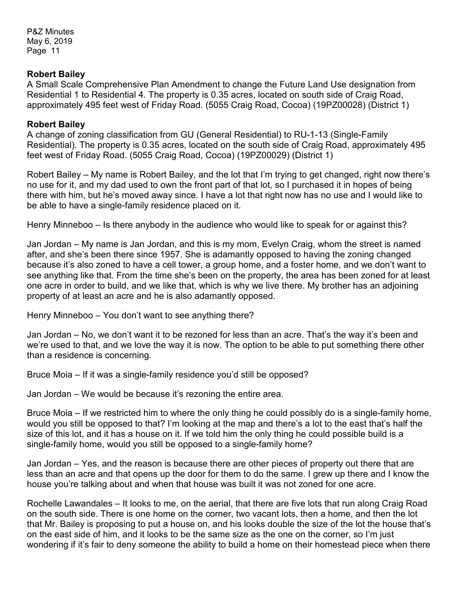### **Robert Bailey**

A Small Scale Comprehensive Plan Amendment to change the Future Land Use designation from Residential 1 to Residential 4. The property is 0.35 acres, located on south side of Craig Road, approximately 495 feet west of Friday Road. (5055 Craig Road, Cocoa) (19PZ00028) (District 1)

#### **Robert Bailey**

A change of zoning classification from GU (General Residential) to RU-1-13 (Single-Family Residential). The property is 0.35 acres, located on the south side of Craig Road, approximately 495 feet west of Friday Road. (5055 Craig Road, Cocoa) (19PZ00029) (District 1)

Robert Bailey – My name is Robert Bailey, and the lot that I'm trying to get changed, right now there's no use for it, and my dad used to own the front part of that lot, so I purchased it in hopes of being there with him, but he's moved away since. I have a lot that right now has no use and I would like to be able to have a single-family residence placed on it.

Henry Minneboo – Is there anybody in the audience who would like to speak for or against this?

Jan Jordan – My name is Jan Jordan, and this is my mom, Evelyn Craig, whom the street is named after, and she's been there since 1957. She is adamantly opposed to having the zoning changed because it's also zoned to have a cell tower, a group home, and a foster home, and we don't want to see anything like that. From the time she's been on the property, the area has been zoned for at least one acre in order to build, and we like that, which is why we live there. My brother has an adjoining property of at least an acre and he is also adamantly opposed.

Henry Minneboo – You don't want to see anything there?

Jan Jordan – No, we don't want it to be rezoned for less than an acre. That's the way it's been and we're used to that, and we love the way it is now. The option to be able to put something there other than a residence is concerning.

Bruce Moia – If it was a single-family residence you'd still be opposed?

Jan Jordan – We would be because it's rezoning the entire area.

Bruce Moia – If we restricted him to where the only thing he could possibly do is a single-family home, would you still be opposed to that? I'm looking at the map and there's a lot to the east that's half the size of this lot, and it has a house on it. If we told him the only thing he could possible build is a single-family home, would you still be opposed to a single-family home?

Jan Jordan – Yes, and the reason is because there are other pieces of property out there that are less than an acre and that opens up the door for them to do the same. I grew up there and I know the house you're talking about and when that house was built it was not zoned for one acre.

Rochelle Lawandales – It looks to me, on the aerial, that there are five lots that run along Craig Road on the south side. There is one home on the corner, two vacant lots, then a home, and then the lot that Mr. Bailey is proposing to put a house on, and his looks double the size of the lot the house that's on the east side of him, and it looks to be the same size as the one on the corner, so I'm just wondering if it's fair to deny someone the ability to build a home on their homestead piece when there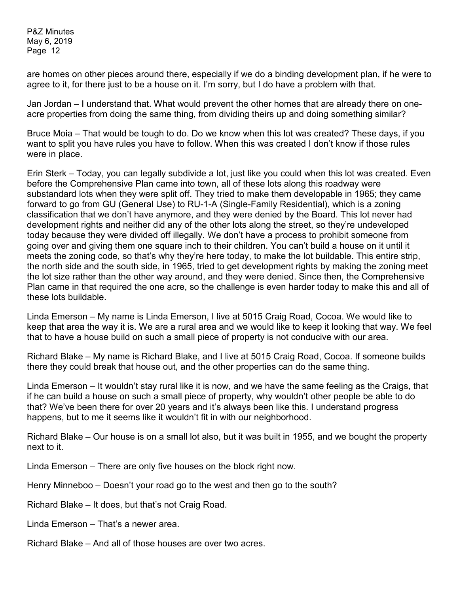are homes on other pieces around there, especially if we do a binding development plan, if he were to agree to it, for there just to be a house on it. I'm sorry, but I do have a problem with that.

Jan Jordan – I understand that. What would prevent the other homes that are already there on oneacre properties from doing the same thing, from dividing theirs up and doing something similar?

Bruce Moia – That would be tough to do. Do we know when this lot was created? These days, if you want to split you have rules you have to follow. When this was created I don't know if those rules were in place.

Erin Sterk – Today, you can legally subdivide a lot, just like you could when this lot was created. Even before the Comprehensive Plan came into town, all of these lots along this roadway were substandard lots when they were split off. They tried to make them developable in 1965; they came forward to go from GU (General Use) to RU-1-A (Single-Family Residential), which is a zoning classification that we don't have anymore, and they were denied by the Board. This lot never had development rights and neither did any of the other lots along the street, so they're undeveloped today because they were divided off illegally. We don't have a process to prohibit someone from going over and giving them one square inch to their children. You can't build a house on it until it meets the zoning code, so that's why they're here today, to make the lot buildable. This entire strip, the north side and the south side, in 1965, tried to get development rights by making the zoning meet the lot size rather than the other way around, and they were denied. Since then, the Comprehensive Plan came in that required the one acre, so the challenge is even harder today to make this and all of these lots buildable.

Linda Emerson – My name is Linda Emerson, I live at 5015 Craig Road, Cocoa. We would like to keep that area the way it is. We are a rural area and we would like to keep it looking that way. We feel that to have a house build on such a small piece of property is not conducive with our area.

Richard Blake – My name is Richard Blake, and I live at 5015 Craig Road, Cocoa. If someone builds there they could break that house out, and the other properties can do the same thing.

Linda Emerson – It wouldn't stay rural like it is now, and we have the same feeling as the Craigs, that if he can build a house on such a small piece of property, why wouldn't other people be able to do that? We've been there for over 20 years and it's always been like this. I understand progress happens, but to me it seems like it wouldn't fit in with our neighborhood.

Richard Blake – Our house is on a small lot also, but it was built in 1955, and we bought the property next to it.

Linda Emerson – There are only five houses on the block right now.

Henry Minneboo – Doesn't your road go to the west and then go to the south?

Richard Blake – It does, but that's not Craig Road.

Linda Emerson – That's a newer area.

Richard Blake – And all of those houses are over two acres.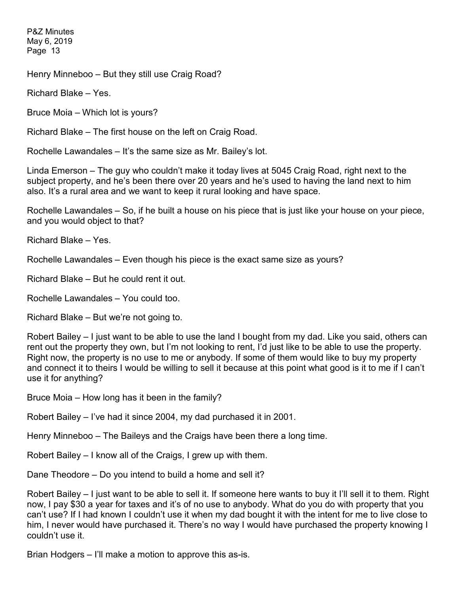Henry Minneboo – But they still use Craig Road?

Richard Blake – Yes.

Bruce Moia – Which lot is yours?

Richard Blake – The first house on the left on Craig Road.

Rochelle Lawandales – It's the same size as Mr. Bailey's lot.

Linda Emerson – The guy who couldn't make it today lives at 5045 Craig Road, right next to the subject property, and he's been there over 20 years and he's used to having the land next to him also. It's a rural area and we want to keep it rural looking and have space.

Rochelle Lawandales – So, if he built a house on his piece that is just like your house on your piece, and you would object to that?

Richard Blake – Yes.

Rochelle Lawandales – Even though his piece is the exact same size as yours?

Richard Blake – But he could rent it out.

Rochelle Lawandales – You could too.

Richard Blake – But we're not going to.

Robert Bailey – I just want to be able to use the land I bought from my dad. Like you said, others can rent out the property they own, but I'm not looking to rent, I'd just like to be able to use the property. Right now, the property is no use to me or anybody. If some of them would like to buy my property and connect it to theirs I would be willing to sell it because at this point what good is it to me if I can't use it for anything?

Bruce Moia – How long has it been in the family?

Robert Bailey – I've had it since 2004, my dad purchased it in 2001.

Henry Minneboo – The Baileys and the Craigs have been there a long time.

Robert Bailey – I know all of the Craigs, I grew up with them.

Dane Theodore – Do you intend to build a home and sell it?

Robert Bailey – I just want to be able to sell it. If someone here wants to buy it I'll sell it to them. Right now, I pay \$30 a year for taxes and it's of no use to anybody. What do you do with property that you can't use? If I had known I couldn't use it when my dad bought it with the intent for me to live close to him, I never would have purchased it. There's no way I would have purchased the property knowing I couldn't use it.

Brian Hodgers – I'll make a motion to approve this as-is.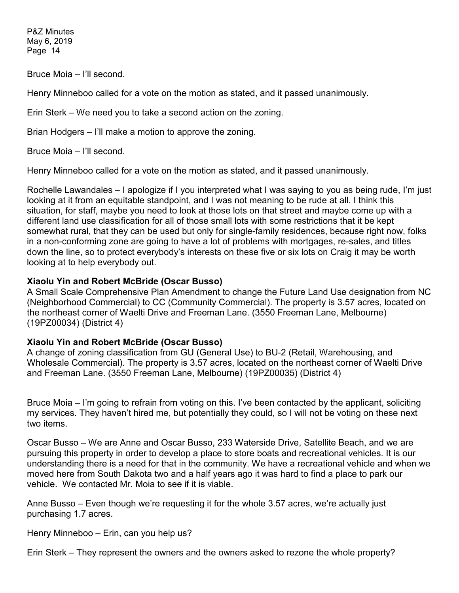Bruce Moia – I'll second.

Henry Minneboo called for a vote on the motion as stated, and it passed unanimously.

Erin Sterk – We need you to take a second action on the zoning.

Brian Hodgers – I'll make a motion to approve the zoning.

Bruce Moia – I'll second.

Henry Minneboo called for a vote on the motion as stated, and it passed unanimously.

Rochelle Lawandales – I apologize if I you interpreted what I was saying to you as being rude, I'm just looking at it from an equitable standpoint, and I was not meaning to be rude at all. I think this situation, for staff, maybe you need to look at those lots on that street and maybe come up with a different land use classification for all of those small lots with some restrictions that it be kept somewhat rural, that they can be used but only for single-family residences, because right now, folks in a non-conforming zone are going to have a lot of problems with mortgages, re-sales, and titles down the line, so to protect everybody's interests on these five or six lots on Craig it may be worth looking at to help everybody out.

## **Xiaolu Yin and Robert McBride (Oscar Busso)**

A Small Scale Comprehensive Plan Amendment to change the Future Land Use designation from NC (Neighborhood Commercial) to CC (Community Commercial). The property is 3.57 acres, located on the northeast corner of Waelti Drive and Freeman Lane. (3550 Freeman Lane, Melbourne) (19PZ00034) (District 4)

## **Xiaolu Yin and Robert McBride (Oscar Busso)**

A change of zoning classification from GU (General Use) to BU-2 (Retail, Warehousing, and Wholesale Commercial). The property is 3.57 acres, located on the northeast corner of Waelti Drive and Freeman Lane. (3550 Freeman Lane, Melbourne) (19PZ00035) (District 4)

Bruce Moia – I'm going to refrain from voting on this. I've been contacted by the applicant, soliciting my services. They haven't hired me, but potentially they could, so I will not be voting on these next two items.

Oscar Busso – We are Anne and Oscar Busso, 233 Waterside Drive, Satellite Beach, and we are pursuing this property in order to develop a place to store boats and recreational vehicles. It is our understanding there is a need for that in the community. We have a recreational vehicle and when we moved here from South Dakota two and a half years ago it was hard to find a place to park our vehicle. We contacted Mr. Moia to see if it is viable.

Anne Busso – Even though we're requesting it for the whole 3.57 acres, we're actually just purchasing 1.7 acres.

Henry Minneboo – Erin, can you help us?

Erin Sterk – They represent the owners and the owners asked to rezone the whole property?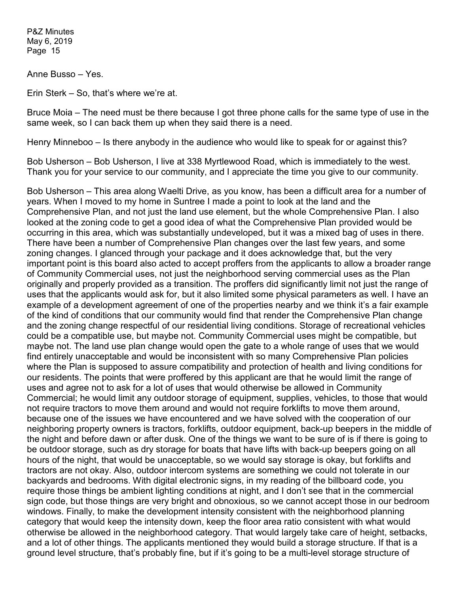Anne Busso – Yes.

Erin Sterk – So, that's where we're at.

Bruce Moia – The need must be there because I got three phone calls for the same type of use in the same week, so I can back them up when they said there is a need.

Henry Minneboo – Is there anybody in the audience who would like to speak for or against this?

Bob Usherson – Bob Usherson, I live at 338 Myrtlewood Road, which is immediately to the west. Thank you for your service to our community, and I appreciate the time you give to our community.

Bob Usherson – This area along Waelti Drive, as you know, has been a difficult area for a number of years. When I moved to my home in Suntree I made a point to look at the land and the Comprehensive Plan, and not just the land use element, but the whole Comprehensive Plan. I also looked at the zoning code to get a good idea of what the Comprehensive Plan provided would be occurring in this area, which was substantially undeveloped, but it was a mixed bag of uses in there. There have been a number of Comprehensive Plan changes over the last few years, and some zoning changes. I glanced through your package and it does acknowledge that, but the very important point is this board also acted to accept proffers from the applicants to allow a broader range of Community Commercial uses, not just the neighborhood serving commercial uses as the Plan originally and properly provided as a transition. The proffers did significantly limit not just the range of uses that the applicants would ask for, but it also limited some physical parameters as well. I have an example of a development agreement of one of the properties nearby and we think it's a fair example of the kind of conditions that our community would find that render the Comprehensive Plan change and the zoning change respectful of our residential living conditions. Storage of recreational vehicles could be a compatible use, but maybe not. Community Commercial uses might be compatible, but maybe not. The land use plan change would open the gate to a whole range of uses that we would find entirely unacceptable and would be inconsistent with so many Comprehensive Plan policies where the Plan is supposed to assure compatibility and protection of health and living conditions for our residents. The points that were proffered by this applicant are that he would limit the range of uses and agree not to ask for a lot of uses that would otherwise be allowed in Community Commercial; he would limit any outdoor storage of equipment, supplies, vehicles, to those that would not require tractors to move them around and would not require forklifts to move them around, because one of the issues we have encountered and we have solved with the cooperation of our neighboring property owners is tractors, forklifts, outdoor equipment, back-up beepers in the middle of the night and before dawn or after dusk. One of the things we want to be sure of is if there is going to be outdoor storage, such as dry storage for boats that have lifts with back-up beepers going on all hours of the night, that would be unacceptable, so we would say storage is okay, but forklifts and tractors are not okay. Also, outdoor intercom systems are something we could not tolerate in our backyards and bedrooms. With digital electronic signs, in my reading of the billboard code, you require those things be ambient lighting conditions at night, and I don't see that in the commercial sign code, but those things are very bright and obnoxious, so we cannot accept those in our bedroom windows. Finally, to make the development intensity consistent with the neighborhood planning category that would keep the intensity down, keep the floor area ratio consistent with what would otherwise be allowed in the neighborhood category. That would largely take care of height, setbacks, and a lot of other things. The applicants mentioned they would build a storage structure. If that is a ground level structure, that's probably fine, but if it's going to be a multi-level storage structure of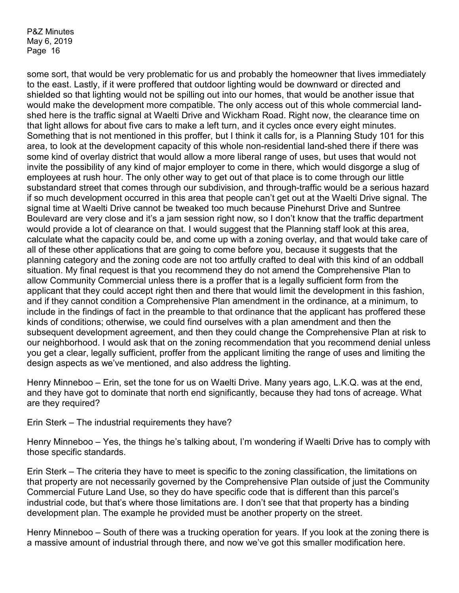some sort, that would be very problematic for us and probably the homeowner that lives immediately to the east. Lastly, if it were proffered that outdoor lighting would be downward or directed and shielded so that lighting would not be spilling out into our homes, that would be another issue that would make the development more compatible. The only access out of this whole commercial landshed here is the traffic signal at Waelti Drive and Wickham Road. Right now, the clearance time on that light allows for about five cars to make a left turn, and it cycles once every eight minutes. Something that is not mentioned in this proffer, but I think it calls for, is a Planning Study 101 for this area, to look at the development capacity of this whole non-residential land-shed there if there was some kind of overlay district that would allow a more liberal range of uses, but uses that would not invite the possibility of any kind of major employer to come in there, which would disgorge a slug of employees at rush hour. The only other way to get out of that place is to come through our little substandard street that comes through our subdivision, and through-traffic would be a serious hazard if so much development occurred in this area that people can't get out at the Waelti Drive signal. The signal time at Waelti Drive cannot be tweaked too much because Pinehurst Drive and Suntree Boulevard are very close and it's a jam session right now, so I don't know that the traffic department would provide a lot of clearance on that. I would suggest that the Planning staff look at this area, calculate what the capacity could be, and come up with a zoning overlay, and that would take care of all of these other applications that are going to come before you, because it suggests that the planning category and the zoning code are not too artfully crafted to deal with this kind of an oddball situation. My final request is that you recommend they do not amend the Comprehensive Plan to allow Community Commercial unless there is a proffer that is a legally sufficient form from the applicant that they could accept right then and there that would limit the development in this fashion, and if they cannot condition a Comprehensive Plan amendment in the ordinance, at a minimum, to include in the findings of fact in the preamble to that ordinance that the applicant has proffered these kinds of conditions; otherwise, we could find ourselves with a plan amendment and then the subsequent development agreement, and then they could change the Comprehensive Plan at risk to our neighborhood. I would ask that on the zoning recommendation that you recommend denial unless you get a clear, legally sufficient, proffer from the applicant limiting the range of uses and limiting the design aspects as we've mentioned, and also address the lighting.

Henry Minneboo – Erin, set the tone for us on Waelti Drive. Many years ago, L.K.Q. was at the end, and they have got to dominate that north end significantly, because they had tons of acreage. What are they required?

Erin Sterk – The industrial requirements they have?

Henry Minneboo – Yes, the things he's talking about, I'm wondering if Waelti Drive has to comply with those specific standards.

Erin Sterk – The criteria they have to meet is specific to the zoning classification, the limitations on that property are not necessarily governed by the Comprehensive Plan outside of just the Community Commercial Future Land Use, so they do have specific code that is different than this parcel's industrial code, but that's where those limitations are. I don't see that that property has a binding development plan. The example he provided must be another property on the street.

Henry Minneboo – South of there was a trucking operation for years. If you look at the zoning there is a massive amount of industrial through there, and now we've got this smaller modification here.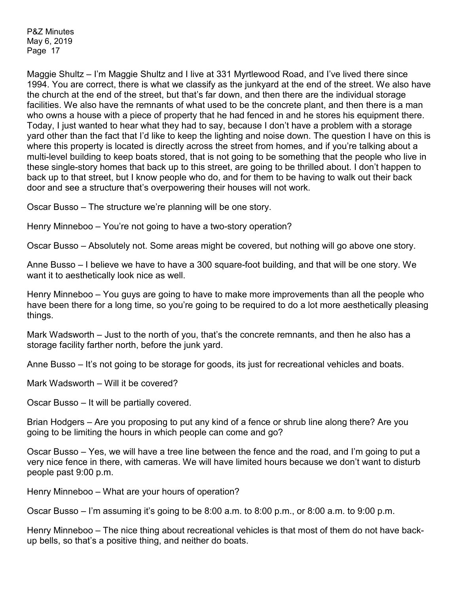Maggie Shultz – I'm Maggie Shultz and I live at 331 Myrtlewood Road, and I've lived there since 1994. You are correct, there is what we classify as the junkyard at the end of the street. We also have the church at the end of the street, but that's far down, and then there are the individual storage facilities. We also have the remnants of what used to be the concrete plant, and then there is a man who owns a house with a piece of property that he had fenced in and he stores his equipment there. Today, I just wanted to hear what they had to say, because I don't have a problem with a storage yard other than the fact that I'd like to keep the lighting and noise down. The question I have on this is where this property is located is directly across the street from homes, and if you're talking about a multi-level building to keep boats stored, that is not going to be something that the people who live in these single-story homes that back up to this street, are going to be thrilled about. I don't happen to back up to that street, but I know people who do, and for them to be having to walk out their back door and see a structure that's overpowering their houses will not work.

Oscar Busso – The structure we're planning will be one story.

Henry Minneboo – You're not going to have a two-story operation?

Oscar Busso – Absolutely not. Some areas might be covered, but nothing will go above one story.

Anne Busso – I believe we have to have a 300 square-foot building, and that will be one story. We want it to aesthetically look nice as well.

Henry Minneboo – You guys are going to have to make more improvements than all the people who have been there for a long time, so you're going to be required to do a lot more aesthetically pleasing things.

Mark Wadsworth – Just to the north of you, that's the concrete remnants, and then he also has a storage facility farther north, before the junk yard.

Anne Busso – It's not going to be storage for goods, its just for recreational vehicles and boats.

Mark Wadsworth – Will it be covered?

Oscar Busso – It will be partially covered.

Brian Hodgers – Are you proposing to put any kind of a fence or shrub line along there? Are you going to be limiting the hours in which people can come and go?

Oscar Busso – Yes, we will have a tree line between the fence and the road, and I'm going to put a very nice fence in there, with cameras. We will have limited hours because we don't want to disturb people past 9:00 p.m.

Henry Minneboo – What are your hours of operation?

Oscar Busso – I'm assuming it's going to be 8:00 a.m. to 8:00 p.m., or 8:00 a.m. to 9:00 p.m.

Henry Minneboo – The nice thing about recreational vehicles is that most of them do not have backup bells, so that's a positive thing, and neither do boats.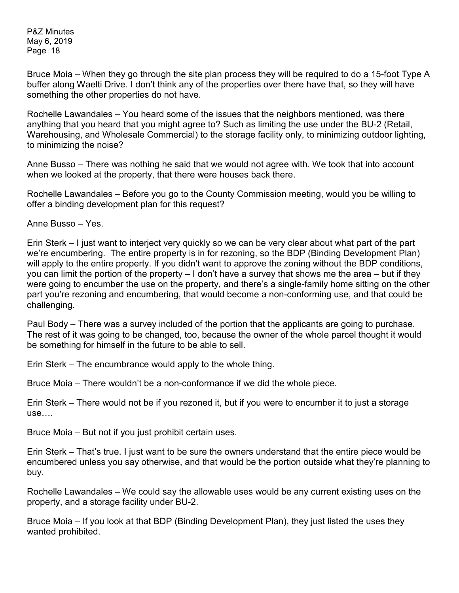Bruce Moia – When they go through the site plan process they will be required to do a 15-foot Type A buffer along Waelti Drive. I don't think any of the properties over there have that, so they will have something the other properties do not have.

Rochelle Lawandales – You heard some of the issues that the neighbors mentioned, was there anything that you heard that you might agree to? Such as limiting the use under the BU-2 (Retail, Warehousing, and Wholesale Commercial) to the storage facility only, to minimizing outdoor lighting, to minimizing the noise?

Anne Busso – There was nothing he said that we would not agree with. We took that into account when we looked at the property, that there were houses back there.

Rochelle Lawandales – Before you go to the County Commission meeting, would you be willing to offer a binding development plan for this request?

Anne Busso – Yes.

Erin Sterk – I just want to interject very quickly so we can be very clear about what part of the part we're encumbering. The entire property is in for rezoning, so the BDP (Binding Development Plan) will apply to the entire property. If you didn't want to approve the zoning without the BDP conditions, you can limit the portion of the property – I don't have a survey that shows me the area – but if they were going to encumber the use on the property, and there's a single-family home sitting on the other part you're rezoning and encumbering, that would become a non-conforming use, and that could be challenging.

Paul Body – There was a survey included of the portion that the applicants are going to purchase. The rest of it was going to be changed, too, because the owner of the whole parcel thought it would be something for himself in the future to be able to sell.

Erin Sterk – The encumbrance would apply to the whole thing.

Bruce Moia – There wouldn't be a non-conformance if we did the whole piece.

Erin Sterk – There would not be if you rezoned it, but if you were to encumber it to just a storage use….

Bruce Moia – But not if you just prohibit certain uses.

Erin Sterk – That's true. I just want to be sure the owners understand that the entire piece would be encumbered unless you say otherwise, and that would be the portion outside what they're planning to buy.

Rochelle Lawandales – We could say the allowable uses would be any current existing uses on the property, and a storage facility under BU-2.

Bruce Moia – If you look at that BDP (Binding Development Plan), they just listed the uses they wanted prohibited.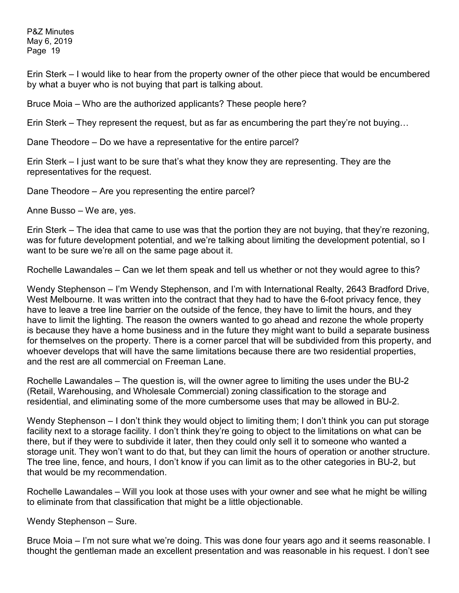Erin Sterk – I would like to hear from the property owner of the other piece that would be encumbered by what a buyer who is not buying that part is talking about.

Bruce Moia – Who are the authorized applicants? These people here?

Erin Sterk – They represent the request, but as far as encumbering the part they're not buying…

Dane Theodore – Do we have a representative for the entire parcel?

Erin Sterk – I just want to be sure that's what they know they are representing. They are the representatives for the request.

Dane Theodore – Are you representing the entire parcel?

Anne Busso – We are, yes.

Erin Sterk – The idea that came to use was that the portion they are not buying, that they're rezoning, was for future development potential, and we're talking about limiting the development potential, so I want to be sure we're all on the same page about it.

Rochelle Lawandales – Can we let them speak and tell us whether or not they would agree to this?

Wendy Stephenson – I'm Wendy Stephenson, and I'm with International Realty, 2643 Bradford Drive, West Melbourne. It was written into the contract that they had to have the 6-foot privacy fence, they have to leave a tree line barrier on the outside of the fence, they have to limit the hours, and they have to limit the lighting. The reason the owners wanted to go ahead and rezone the whole property is because they have a home business and in the future they might want to build a separate business for themselves on the property. There is a corner parcel that will be subdivided from this property, and whoever develops that will have the same limitations because there are two residential properties, and the rest are all commercial on Freeman Lane.

Rochelle Lawandales – The question is, will the owner agree to limiting the uses under the BU-2 (Retail, Warehousing, and Wholesale Commercial) zoning classification to the storage and residential, and eliminating some of the more cumbersome uses that may be allowed in BU-2.

Wendy Stephenson – I don't think they would object to limiting them; I don't think you can put storage facility next to a storage facility. I don't think they're going to object to the limitations on what can be there, but if they were to subdivide it later, then they could only sell it to someone who wanted a storage unit. They won't want to do that, but they can limit the hours of operation or another structure. The tree line, fence, and hours, I don't know if you can limit as to the other categories in BU-2, but that would be my recommendation.

Rochelle Lawandales – Will you look at those uses with your owner and see what he might be willing to eliminate from that classification that might be a little objectionable.

Wendy Stephenson – Sure.

Bruce Moia – I'm not sure what we're doing. This was done four years ago and it seems reasonable. I thought the gentleman made an excellent presentation and was reasonable in his request. I don't see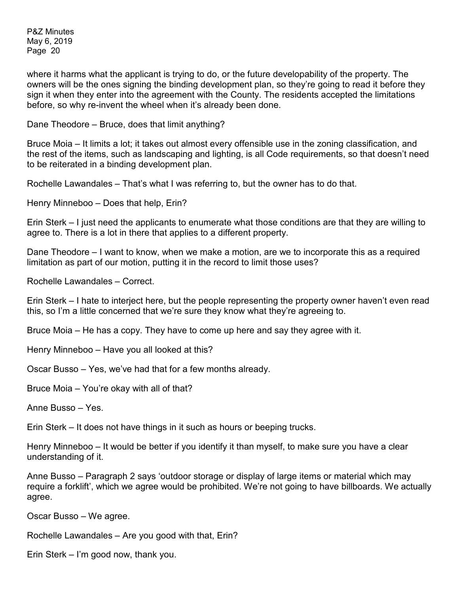where it harms what the applicant is trying to do, or the future developability of the property. The owners will be the ones signing the binding development plan, so they're going to read it before they sign it when they enter into the agreement with the County. The residents accepted the limitations before, so why re-invent the wheel when it's already been done.

Dane Theodore – Bruce, does that limit anything?

Bruce Moia – It limits a lot; it takes out almost every offensible use in the zoning classification, and the rest of the items, such as landscaping and lighting, is all Code requirements, so that doesn't need to be reiterated in a binding development plan.

Rochelle Lawandales – That's what I was referring to, but the owner has to do that.

Henry Minneboo – Does that help, Erin?

Erin Sterk – I just need the applicants to enumerate what those conditions are that they are willing to agree to. There is a lot in there that applies to a different property.

Dane Theodore – I want to know, when we make a motion, are we to incorporate this as a required limitation as part of our motion, putting it in the record to limit those uses?

Rochelle Lawandales – Correct.

Erin Sterk – I hate to interject here, but the people representing the property owner haven't even read this, so I'm a little concerned that we're sure they know what they're agreeing to.

Bruce Moia – He has a copy. They have to come up here and say they agree with it.

Henry Minneboo – Have you all looked at this?

Oscar Busso – Yes, we've had that for a few months already.

Bruce Moia – You're okay with all of that?

Anne Busso – Yes.

Erin Sterk – It does not have things in it such as hours or beeping trucks.

Henry Minneboo – It would be better if you identify it than myself, to make sure you have a clear understanding of it.

Anne Busso – Paragraph 2 says 'outdoor storage or display of large items or material which may require a forklift', which we agree would be prohibited. We're not going to have billboards. We actually agree.

Oscar Busso – We agree.

Rochelle Lawandales – Are you good with that, Erin?

Erin Sterk – I'm good now, thank you.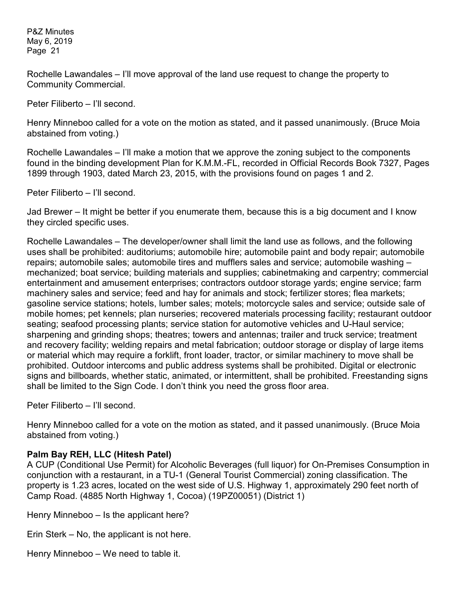Rochelle Lawandales – I'll move approval of the land use request to change the property to Community Commercial.

Peter Filiberto – I'll second.

Henry Minneboo called for a vote on the motion as stated, and it passed unanimously. (Bruce Moia abstained from voting.)

Rochelle Lawandales – I'll make a motion that we approve the zoning subject to the components found in the binding development Plan for K.M.M.-FL, recorded in Official Records Book 7327, Pages 1899 through 1903, dated March 23, 2015, with the provisions found on pages 1 and 2.

Peter Filiberto – I'll second.

Jad Brewer – It might be better if you enumerate them, because this is a big document and I know they circled specific uses.

Rochelle Lawandales – The developer/owner shall limit the land use as follows, and the following uses shall be prohibited: auditoriums; automobile hire; automobile paint and body repair; automobile repairs; automobile sales; automobile tires and mufflers sales and service; automobile washing – mechanized; boat service; building materials and supplies; cabinetmaking and carpentry; commercial entertainment and amusement enterprises; contractors outdoor storage yards; engine service; farm machinery sales and service; feed and hay for animals and stock; fertilizer stores; flea markets; gasoline service stations; hotels, lumber sales; motels; motorcycle sales and service; outside sale of mobile homes; pet kennels; plan nurseries; recovered materials processing facility; restaurant outdoor seating; seafood processing plants; service station for automotive vehicles and U-Haul service; sharpening and grinding shops; theatres; towers and antennas; trailer and truck service; treatment and recovery facility; welding repairs and metal fabrication; outdoor storage or display of large items or material which may require a forklift, front loader, tractor, or similar machinery to move shall be prohibited. Outdoor intercoms and public address systems shall be prohibited. Digital or electronic signs and billboards, whether static, animated, or intermittent, shall be prohibited. Freestanding signs shall be limited to the Sign Code. I don't think you need the gross floor area.

Peter Filiberto – I'll second.

Henry Minneboo called for a vote on the motion as stated, and it passed unanimously. (Bruce Moia abstained from voting.)

## **Palm Bay REH, LLC (Hitesh Patel)**

A CUP (Conditional Use Permit) for Alcoholic Beverages (full liquor) for On-Premises Consumption in conjunction with a restaurant, in a TU-1 (General Tourist Commercial) zoning classification. The property is 1.23 acres, located on the west side of U.S. Highway 1, approximately 290 feet north of Camp Road. (4885 North Highway 1, Cocoa) (19PZ00051) (District 1)

Henry Minneboo – Is the applicant here?

Erin Sterk – No, the applicant is not here.

Henry Minneboo – We need to table it.